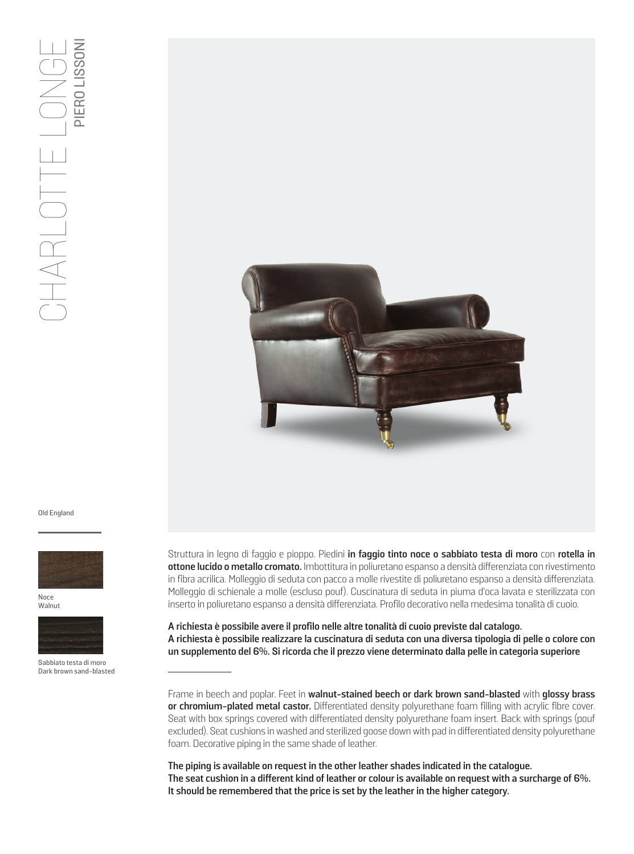

Old England



Noce Walnut



Sabbiato testa di moro Dark brown sand-blasted Struttura in legno di faggio e pioppo. Piedini **in faggio tinto noce o sabbiato testa di moro** con **rotella in ottone lucido o metallo cromato.** Imbottitura in poliuretano espanso a densità differenziata con rivestimento in fibra acrilica. Molleggio di seduta con pacco a molle rivestite di poliuretano espanso a densità differenziata. Molleggio di schienale a molle (escluso pouf). Cuscinatura di seduta in piuma d'oca lavata e sterilizzata con inserto in poliuretano espanso a densità differenziata. Profilo decorativo nella medesima tonalità di cuoio.

**A richiesta è possibile avere il profilo nelle altre tonalità di cuoio previste dal catalogo. A richiesta è possibile realizzare la cuscinatura di seduta con una diversa tipologia di pelle o colore con un supplemento del 6%. Si ricorda che il prezzo viene determinato dalla pelle in categoria superiore**

Frame in beech and poplar. Feet in **walnut-stained beech or dark brown sand-blasted** with **glossy brass or chromium-plated metal castor.** Differentiated density polyurethane foam filling with acrylic fibre cover. Seat with box springs covered with differentiated density polyurethane foam insert. Back with springs (pouf excluded). Seat cushions in washed and sterilized goose down with pad in differentiated density polyurethane foam. Decorative piping in the same shade of leather.

**The piping is available on request in the other leather shades indicated in the catalogue. The seat cushion in a different kind of leather or colour is available on request with a surcharge of 6%. It should be remembered that the price is set by the leather in the higher category.**